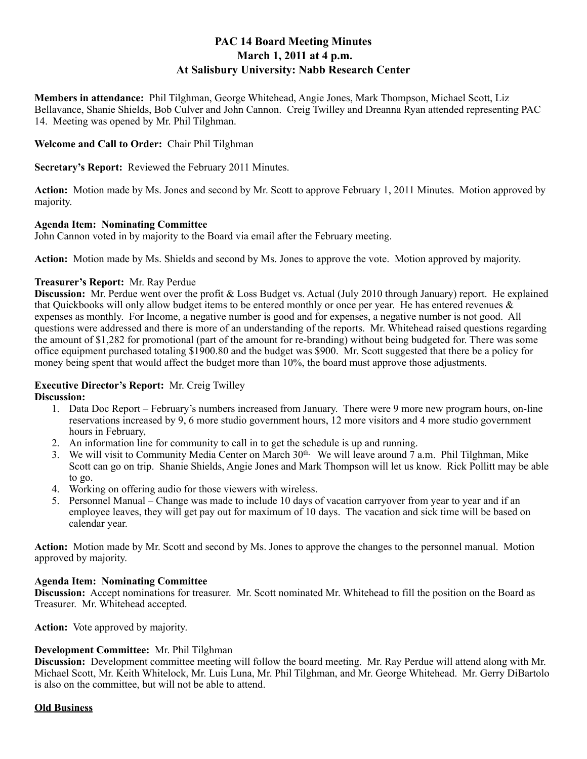# **PAC 14 Board Meeting Minutes March 1, 2011 at 4 p.m. At Salisbury University: Nabb Research Center**

**Members in attendance:** Phil Tilghman, George Whitehead, Angie Jones, Mark Thompson, Michael Scott, Liz Bellavance, Shanie Shields, Bob Culver and John Cannon. Creig Twilley and Dreanna Ryan attended representing PAC 14. Meeting was opened by Mr. Phil Tilghman.

### **Welcome and Call to Order:** Chair Phil Tilghman

**Secretary's Report:** Reviewed the February 2011 Minutes.

**Action:** Motion made by Ms. Jones and second by Mr. Scott to approve February 1, 2011 Minutes. Motion approved by majority.

#### **Agenda Item: Nominating Committee**

John Cannon voted in by majority to the Board via email after the February meeting.

**Action:** Motion made by Ms. Shields and second by Ms. Jones to approve the vote. Motion approved by majority.

## **Treasurer's Report:** Mr. Ray Perdue

**Discussion:** Mr. Perdue went over the profit & Loss Budget vs. Actual (July 2010 through January) report. He explained that Quickbooks will only allow budget items to be entered monthly or once per year. He has entered revenues & expenses as monthly. For Income, a negative number is good and for expenses, a negative number is not good. All questions were addressed and there is more of an understanding of the reports. Mr. Whitehead raised questions regarding the amount of \$1,282 for promotional (part of the amount for re-branding) without being budgeted for. There was some office equipment purchased totaling \$1900.80 and the budget was \$900. Mr. Scott suggested that there be a policy for money being spent that would affect the budget more than 10%, the board must approve those adjustments.

# **Executive Director's Report:** Mr. Creig Twilley

**Discussion:**

- 1. Data Doc Report February's numbers increased from January. There were 9 more new program hours, on-line reservations increased by 9, 6 more studio government hours, 12 more visitors and 4 more studio government hours in February,
- 2. An information line for community to call in to get the schedule is up and running.
- 3. We will visit to Community Media Center on March  $30<sup>th</sup>$ . We will leave around  $\overline{7}$  a.m. Phil Tilghman, Mike Scott can go on trip. Shanie Shields, Angie Jones and Mark Thompson will let us know. Rick Pollitt may be able to go.
- 4. Working on offering audio for those viewers with wireless.
- 5. Personnel Manual Change was made to include 10 days of vacation carryover from year to year and if an employee leaves, they will get pay out for maximum of 10 days. The vacation and sick time will be based on calendar year.

**Action:** Motion made by Mr. Scott and second by Ms. Jones to approve the changes to the personnel manual. Motion approved by majority.

#### **Agenda Item: Nominating Committee**

**Discussion:** Accept nominations for treasurer. Mr. Scott nominated Mr. Whitehead to fill the position on the Board as Treasurer. Mr. Whitehead accepted.

**Action:** Vote approved by majority.

# **Development Committee:** Mr. Phil Tilghman

**Discussion:** Development committee meeting will follow the board meeting. Mr. Ray Perdue will attend along with Mr. Michael Scott, Mr. Keith Whitelock, Mr. Luis Luna, Mr. Phil Tilghman, and Mr. George Whitehead. Mr. Gerry DiBartolo is also on the committee, but will not be able to attend.

#### **Old Business**